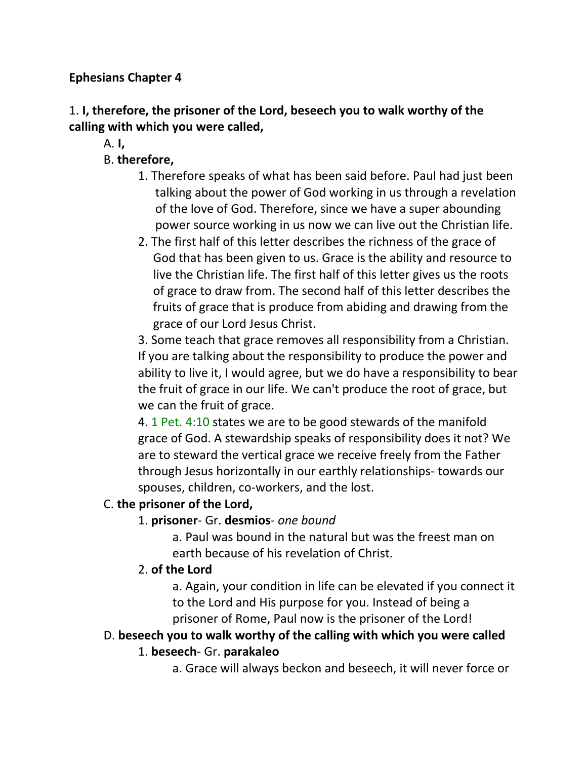#### **Ephesians Chapter 4**

## 1. **I, therefore, the prisoner of the Lord, beseech you to walk worthy of the calling with which you were called,**

A. **I,**

## B. **therefore,**

- 1. Therefore speaks of what has been said before. Paul had just been talking about the power of God working in us through a revelation of the love of God. Therefore, since we have a super abounding power source working in us now we can live out the Christian life.
- 2. The first half of this letter describes the richness of the grace of God that has been given to us. Grace is the ability and resource to live the Christian life. The first half of this letter gives us the roots of grace to draw from. The second half of this letter describes the fruits of grace that is produce from abiding and drawing from the grace of our Lord Jesus Christ.

3. Some teach that grace removes all responsibility from a Christian. If you are talking about the responsibility to produce the power and ability to live it, I would agree, but we do have a responsibility to bear the fruit of grace in our life. We can't produce the root of grace, but we can the fruit of grace.

4. 1 Pet. 4:10 states we are to be good stewards of the manifold grace of God. A stewardship speaks of responsibility does it not? We are to steward the vertical grace we receive freely from the Father through Jesus horizontally in our earthly relationships- towards our spouses, children, co-workers, and the lost.

#### C. **the prisoner of the Lord,**

### 1. **prisoner**- Gr. **desmios**- *one bound*

a. Paul was bound in the natural but was the freest man on earth because of his revelation of Christ.

### 2. **of the Lord**

a. Again, your condition in life can be elevated if you connect it to the Lord and His purpose for you. Instead of being a prisoner of Rome, Paul now is the prisoner of the Lord!

### D. **beseech you to walk worthy of the calling with which you were called**

### 1. **beseech**- Gr. **parakaleo**

a. Grace will always beckon and beseech, it will never force or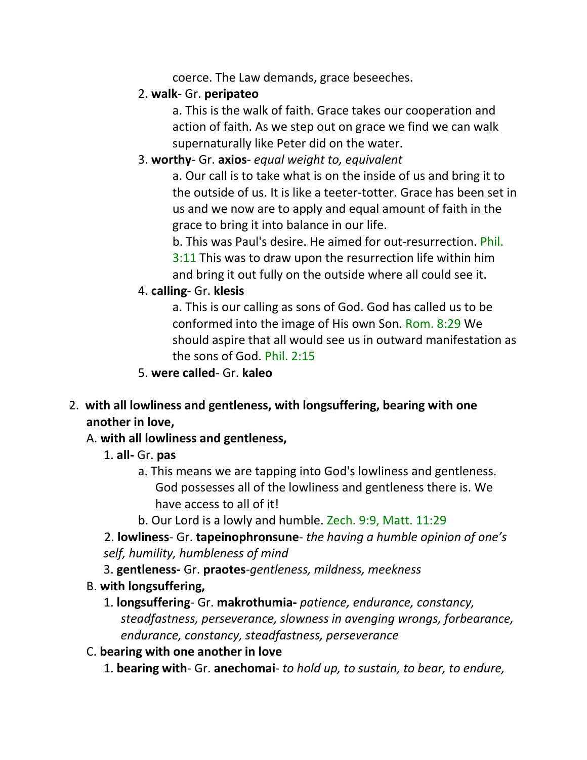coerce. The Law demands, grace beseeches.

#### 2. **walk**- Gr. **peripateo**

a. This is the walk of faith. Grace takes our cooperation and action of faith. As we step out on grace we find we can walk supernaturally like Peter did on the water.

## 3. **worthy**- Gr. **axios**- *equal weight to, equivalent*

a. Our call is to take what is on the inside of us and bring it to the outside of us. It is like a teeter-totter. Grace has been set in us and we now are to apply and equal amount of faith in the grace to bring it into balance in our life.

b. This was Paul's desire. He aimed for out-resurrection. Phil. 3:11 This was to draw upon the resurrection life within him and bring it out fully on the outside where all could see it.

## 4. **calling**- Gr. **klesis**

a. This is our calling as sons of God. God has called us to be conformed into the image of His own Son. Rom. 8:29 We should aspire that all would see us in outward manifestation as the sons of God. Phil. 2:15

- 5. **were called** Gr. **kaleo**
- 2. **with all lowliness and gentleness, with longsuffering, bearing with one another in love,**

### A. **with all lowliness and gentleness,**

- 1. **all-** Gr. **pas**
	- a. This means we are tapping into God's lowliness and gentleness. God possesses all of the lowliness and gentleness there is. We have access to all of it!
	- b. Our Lord is a lowly and humble. Zech. 9:9, Matt. 11:29

2. **lowliness**- Gr. **tapeinophronsune**- *the having a humble opinion of one's self, humility, humbleness of mind*

3. **gentleness-** Gr. **praotes**-*gentleness, mildness, meekness*

- B. **with longsuffering,**
	- 1. **longsuffering** Gr. **makrothumia-** *patience, endurance, constancy, steadfastness, perseverance, slowness in avenging wrongs, forbearance, endurance, constancy, steadfastness, perseverance*
- C. **bearing with one another in love**
	- 1. **bearing with** Gr. **anechomai** *to hold up, to sustain, to bear, to endure,*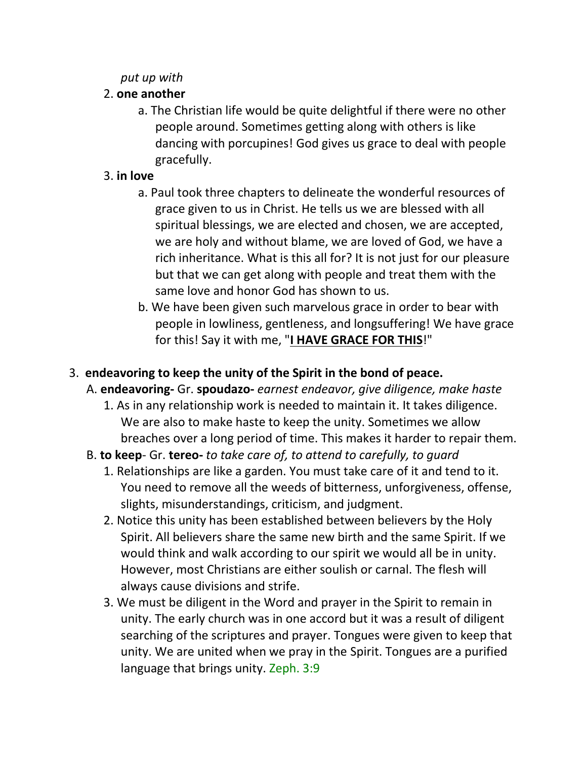#### *put up with*

## 2. **one another**

a. The Christian life would be quite delightful if there were no other people around. Sometimes getting along with others is like dancing with porcupines! God gives us grace to deal with people gracefully.

## 3. **in love**

- a. Paul took three chapters to delineate the wonderful resources of grace given to us in Christ. He tells us we are blessed with all spiritual blessings, we are elected and chosen, we are accepted, we are holy and without blame, we are loved of God, we have a rich inheritance. What is this all for? It is not just for our pleasure but that we can get along with people and treat them with the same love and honor God has shown to us.
- b. We have been given such marvelous grace in order to bear with people in lowliness, gentleness, and longsuffering! We have grace for this! Say it with me, "**I HAVE GRACE FOR THIS**!"

## 3. **endeavoring to keep the unity of the Spirit in the bond of peace.**

A. **endeavoring-** Gr. **spoudazo-** *earnest endeavor, give diligence, make haste*

- 1. As in any relationship work is needed to maintain it. It takes diligence. We are also to make haste to keep the unity. Sometimes we allow breaches over a long period of time. This makes it harder to repair them.
- B. **to keep** Gr. **tereo-** *to take care of, to attend to carefully, to guard*
	- 1. Relationships are like a garden. You must take care of it and tend to it. You need to remove all the weeds of bitterness, unforgiveness, offense, slights, misunderstandings, criticism, and judgment.
	- 2. Notice this unity has been established between believers by the Holy Spirit. All believers share the same new birth and the same Spirit. If we would think and walk according to our spirit we would all be in unity. However, most Christians are either soulish or carnal. The flesh will always cause divisions and strife.
	- 3. We must be diligent in the Word and prayer in the Spirit to remain in unity. The early church was in one accord but it was a result of diligent searching of the scriptures and prayer. Tongues were given to keep that unity. We are united when we pray in the Spirit. Tongues are a purified language that brings unity. Zeph. 3:9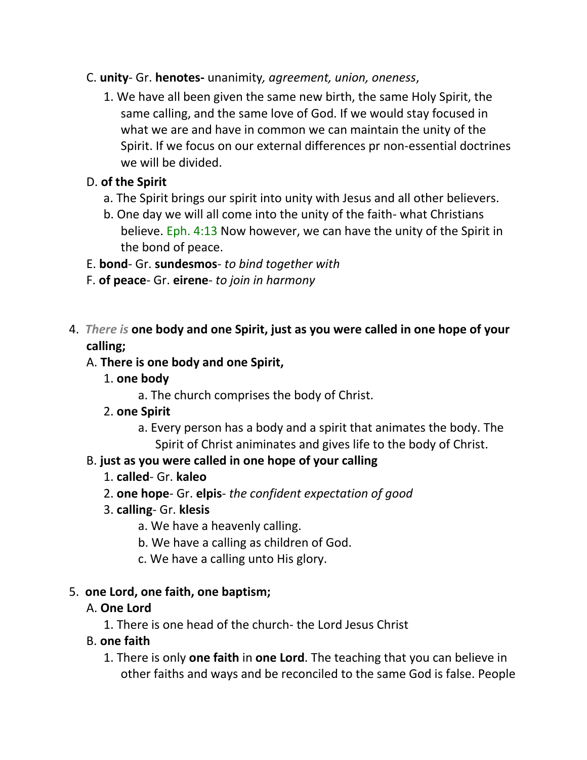#### C. **unity**- Gr. **henotes-** unanimity*, agreement, union, oneness*,

1. We have all been given the same new birth, the same Holy Spirit, the same calling, and the same love of God. If we would stay focused in what we are and have in common we can maintain the unity of the Spirit. If we focus on our external differences pr non-essential doctrines we will be divided.

## D. **of the Spirit**

- a. The Spirit brings our spirit into unity with Jesus and all other believers.
- b. One day we will all come into the unity of the faith- what Christians believe. Eph. 4:13 Now however, we can have the unity of the Spirit in the bond of peace.
- E. **bond** Gr. **sundesmos** *to bind together with*
- F. **of peace** Gr. **eirene** *to join in harmony*
- 4. *There is* **one body and one Spirit, just as you were called in one hope of your calling;**

## A. **There is one body and one Spirit,**

- 1. **one body**
	- a. The church comprises the body of Christ.
- 2. **one Spirit**
	- a. Every person has a body and a spirit that animates the body. The Spirit of Christ animinates and gives life to the body of Christ.

## B. **just as you were called in one hope of your calling**

- 1. **called** Gr. **kaleo**
- 2. **one hope** Gr. **elpis** *the confident expectation of good*
- 3. **calling** Gr. **klesis**
	- a. We have a heavenly calling.
	- b. We have a calling as children of God.
	- c. We have a calling unto His glory.

## 5. **one Lord, one faith, one baptism;**

## A. **One Lord**

1. There is one head of the church- the Lord Jesus Christ

## B. **one faith**

1. There is only **one faith** in **one Lord**. The teaching that you can believe in other faiths and ways and be reconciled to the same God is false. People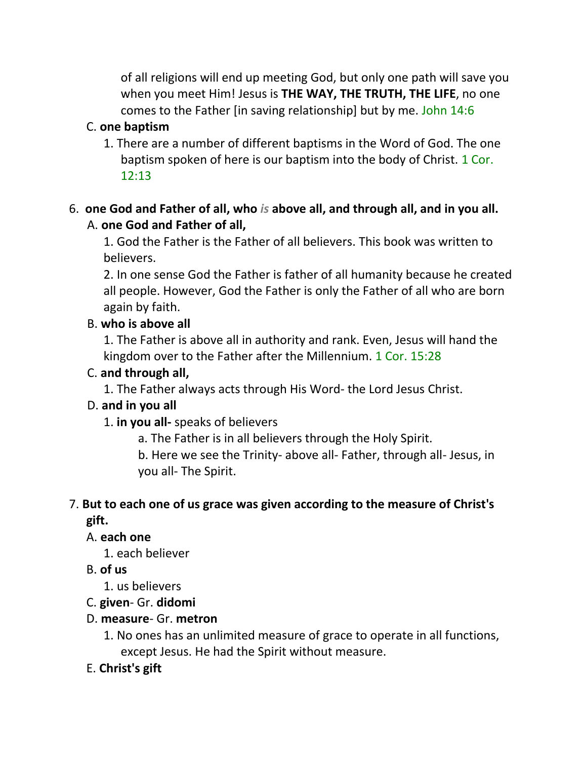of all religions will end up meeting God, but only one path will save you when you meet Him! Jesus is **THE WAY, THE TRUTH, THE LIFE**, no one comes to the Father [in saving relationship] but by me. John 14:6

## C. **one baptism**

1. There are a number of different baptisms in the Word of God. The one baptism spoken of here is our baptism into the body of Christ. 1 Cor. 12:13

## 6. **one God and Father of all, who** *is* **above all, and through all, and in you all.** A. **one God and Father of all,**

1. God the Father is the Father of all believers. This book was written to believers.

2. In one sense God the Father is father of all humanity because he created all people. However, God the Father is only the Father of all who are born again by faith.

### B. **who is above all**

1. The Father is above all in authority and rank. Even, Jesus will hand the kingdom over to the Father after the Millennium. 1 Cor. 15:28

#### C. **and through all,**

1. The Father always acts through His Word- the Lord Jesus Christ.

### D. **and in you all**

1. **in you all-** speaks of believers

a. The Father is in all believers through the Holy Spirit.

b. Here we see the Trinity- above all- Father, through all- Jesus, in you all- The Spirit.

#### 7. **But to each one of us grace was given according to the measure of Christ's gift.**

### A. **each one**

1. each believer

## B. **of us**

1. us believers

### C. **given**- Gr. **didomi**

### D. **measure**- Gr. **metron**

1. No ones has an unlimited measure of grace to operate in all functions, except Jesus. He had the Spirit without measure.

### E. **Christ's gift**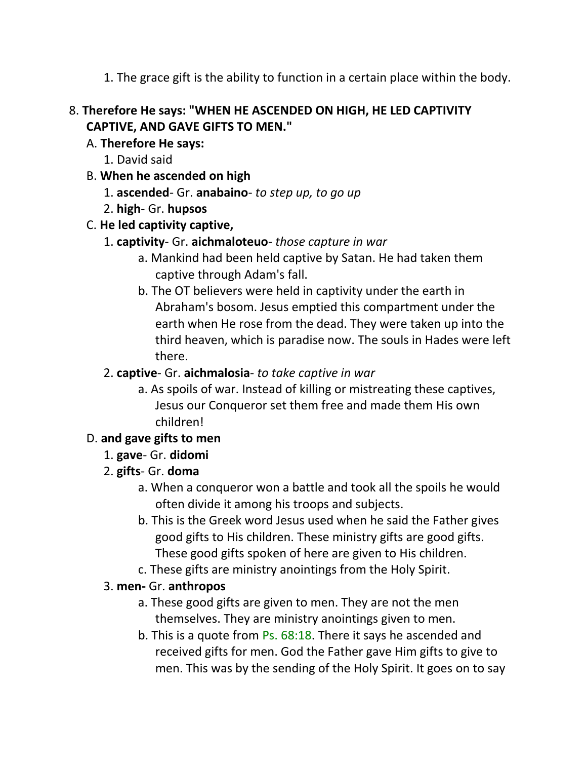1. The grace gift is the ability to function in a certain place within the body.

## 8. **Therefore He says: "WHEN HE ASCENDED ON HIGH, HE LED CAPTIVITY CAPTIVE, AND GAVE GIFTS TO MEN."**

## A. **Therefore He says:**

- 1. David said
- B. **When he ascended on high**
	- 1. **ascended** Gr. **anabaino** *to step up, to go up*
	- 2. **high** Gr. **hupsos**
- C. **He led captivity captive,**
	- 1. **captivity** Gr. **aichmaloteuo** *those capture in war*
		- a. Mankind had been held captive by Satan. He had taken them captive through Adam's fall.
		- b. The OT believers were held in captivity under the earth in Abraham's bosom. Jesus emptied this compartment under the earth when He rose from the dead. They were taken up into the third heaven, which is paradise now. The souls in Hades were left there.

## 2. **captive**- Gr. **aichmalosia**- *to take captive in war*

a. As spoils of war. Instead of killing or mistreating these captives, Jesus our Conqueror set them free and made them His own children!

## D. **and gave gifts to men**

### 1. **gave**- Gr. **didomi**

- 2. **gifts** Gr. **doma**
	- a. When a conqueror won a battle and took all the spoils he would often divide it among his troops and subjects.
	- b. This is the Greek word Jesus used when he said the Father gives good gifts to His children. These ministry gifts are good gifts. These good gifts spoken of here are given to His children.
	- c. These gifts are ministry anointings from the Holy Spirit.

### 3. **men-** Gr. **anthropos**

- a. These good gifts are given to men. They are not the men themselves. They are ministry anointings given to men.
- b. This is a quote from Ps. 68:18. There it says he ascended and received gifts for men. God the Father gave Him gifts to give to men. This was by the sending of the Holy Spirit. It goes on to say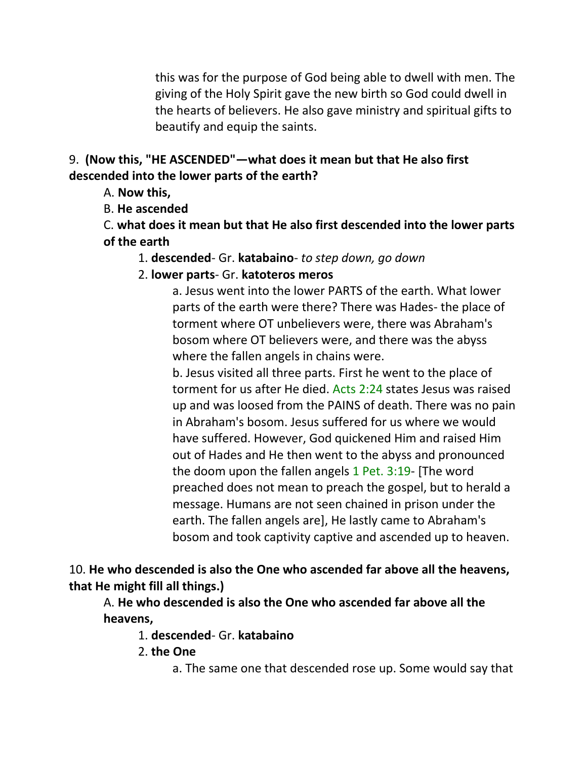this was for the purpose of God being able to dwell with men. The giving of the Holy Spirit gave the new birth so God could dwell in the hearts of believers. He also gave ministry and spiritual gifts to beautify and equip the saints.

#### 9. **(Now this, "HE ASCENDED"—what does it mean but that He also first descended into the lower parts of the earth?**

A. **Now this,**

B. **He ascended**

C. **what does it mean but that He also first descended into the lower parts of the earth**

1. **descended**- Gr. **katabaino**- *to step down, go down*

2. **lower parts**- Gr. **katoteros meros**

a. Jesus went into the lower PARTS of the earth. What lower parts of the earth were there? There was Hades- the place of torment where OT unbelievers were, there was Abraham's bosom where OT believers were, and there was the abyss where the fallen angels in chains were.

b. Jesus visited all three parts. First he went to the place of torment for us after He died. Acts 2:24 states Jesus was raised up and was loosed from the PAINS of death. There was no pain in Abraham's bosom. Jesus suffered for us where we would have suffered. However, God quickened Him and raised Him out of Hades and He then went to the abyss and pronounced the doom upon the fallen angels 1 Pet. 3:19- [The word preached does not mean to preach the gospel, but to herald a message. Humans are not seen chained in prison under the earth. The fallen angels are], He lastly came to Abraham's bosom and took captivity captive and ascended up to heaven.

10. **He who descended is also the One who ascended far above all the heavens, that He might fill all things.)**

A. **He who descended is also the One who ascended far above all the heavens,**

1. **descended**- Gr. **katabaino**

2. **the One**

a. The same one that descended rose up. Some would say that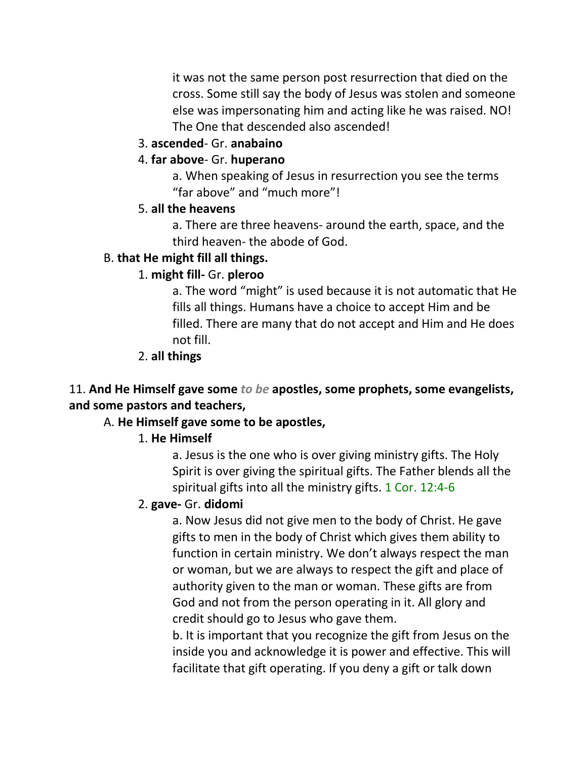it was not the same person post resurrection that died on the cross. Some still say the body of Jesus was stolen and someone else was impersonating him and acting like he was raised. NO! The One that descended also ascended!

#### 3. **ascended**- Gr. **anabaino**

#### 4. **far above**- Gr. **huperano**

a. When speaking of Jesus in resurrection you see the terms "far above" and "much more"!

#### 5. **all the heavens**

a. There are three heavens- around the earth, space, and the third heaven- the abode of God.

#### B. **that He might fill all things.**

#### 1. **might fill-** Gr. **pleroo**

a. The word "might" is used because it is not automatic that He fills all things. Humans have a choice to accept Him and be filled. There are many that do not accept and Him and He does not fill.

#### 2. **all things**

### 11. **And He Himself gave some** *to be* **apostles, some prophets, some evangelists, and some pastors and teachers,**

#### A. **He Himself gave some to be apostles,**

#### 1. **He Himself**

a. Jesus is the one who is over giving ministry gifts. The Holy Spirit is over giving the spiritual gifts. The Father blends all the spiritual gifts into all the ministry gifts. 1 Cor. 12:4-6

#### 2. **gave-** Gr. **didomi**

a. Now Jesus did not give men to the body of Christ. He gave gifts to men in the body of Christ which gives them ability to function in certain ministry. We don't always respect the man or woman, but we are always to respect the gift and place of authority given to the man or woman. These gifts are from God and not from the person operating in it. All glory and credit should go to Jesus who gave them.

b. It is important that you recognize the gift from Jesus on the inside you and acknowledge it is power and effective. This will facilitate that gift operating. If you deny a gift or talk down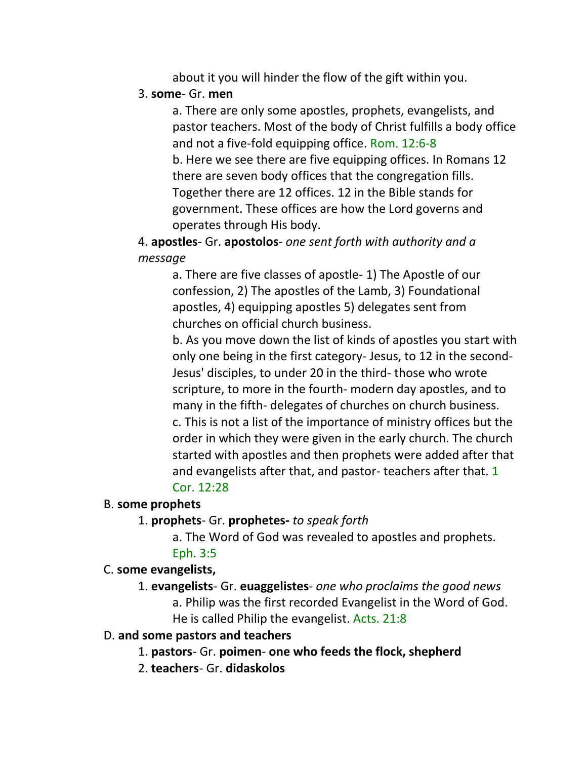about it you will hinder the flow of the gift within you.

#### 3. **some**- Gr. **men**

a. There are only some apostles, prophets, evangelists, and pastor teachers. Most of the body of Christ fulfills a body office and not a five-fold equipping office. Rom. 12:6-8 b. Here we see there are five equipping offices. In Romans 12 there are seven body offices that the congregation fills. Together there are 12 offices. 12 in the Bible stands for government. These offices are how the Lord governs and operates through His body.

4. **apostles**- Gr. **apostolos**- *one sent forth with authority and a message*

a. There are five classes of apostle- 1) The Apostle of our confession, 2) The apostles of the Lamb, 3) Foundational apostles, 4) equipping apostles 5) delegates sent from churches on official church business.

b. As you move down the list of kinds of apostles you start with only one being in the first category- Jesus, to 12 in the second-Jesus' disciples, to under 20 in the third- those who wrote scripture, to more in the fourth- modern day apostles, and to many in the fifth- delegates of churches on church business. c. This is not a list of the importance of ministry offices but the order in which they were given in the early church. The church started with apostles and then prophets were added after that and evangelists after that, and pastor- teachers after that. 1 Cor. 12:28

#### B. **some prophets**

#### 1. **prophets**- Gr. **prophetes-** *to speak forth*

a. The Word of God was revealed to apostles and prophets.

#### Eph. 3:5

#### C. **some evangelists,**

1. **evangelists**- Gr. **euaggelistes**- *one who proclaims the good news* a. Philip was the first recorded Evangelist in the Word of God. He is called Philip the evangelist. Acts. 21:8

#### D. **and some pastors and teachers**

1. **pastors**- Gr. **poimen**- **one who feeds the flock, shepherd**

2. **teachers**- Gr. **didaskolos**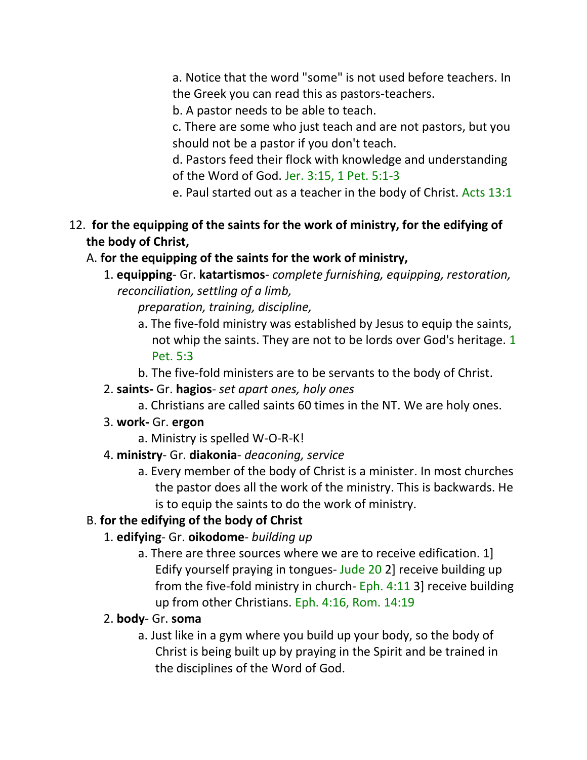a. Notice that the word "some" is not used before teachers. In the Greek you can read this as pastors-teachers.

b. A pastor needs to be able to teach.

c. There are some who just teach and are not pastors, but you should not be a pastor if you don't teach.

d. Pastors feed their flock with knowledge and understanding of the Word of God. Jer. 3:15, 1 Pet. 5:1-3

e. Paul started out as a teacher in the body of Christ. Acts 13:1

## 12. **for the equipping of the saints for the work of ministry, for the edifying of the body of Christ,**

## A. **for the equipping of the saints for the work of ministry,**

1. **equipping**- Gr. **katartismos**- *complete furnishing, equipping, restoration, reconciliation, settling of a limb,*

*preparation, training, discipline,*

- a. The five-fold ministry was established by Jesus to equip the saints, not whip the saints. They are not to be lords over God's heritage. 1 Pet. 5:3
- b. The five-fold ministers are to be servants to the body of Christ.
- 2. **saints-** Gr. **hagios** *set apart ones, holy ones*
	- a. Christians are called saints 60 times in the NT. We are holy ones.
- 3. **work-** Gr. **ergon**
	- a. Ministry is spelled W-O-R-K!
- 4. **ministry** Gr. **diakonia** *deaconing, service*
	- a. Every member of the body of Christ is a minister. In most churches the pastor does all the work of the ministry. This is backwards. He is to equip the saints to do the work of ministry.

## B. **for the edifying of the body of Christ**

## 1. **edifying**- Gr. **oikodome**- *building up*

a. There are three sources where we are to receive edification. 1] Edify yourself praying in tongues- Jude 20 2] receive building up from the five-fold ministry in church- Eph. 4:11 3] receive building up from other Christians. Eph. 4:16, Rom. 14:19

## 2. **body**- Gr. **soma**

a. Just like in a gym where you build up your body, so the body of Christ is being built up by praying in the Spirit and be trained in the disciplines of the Word of God.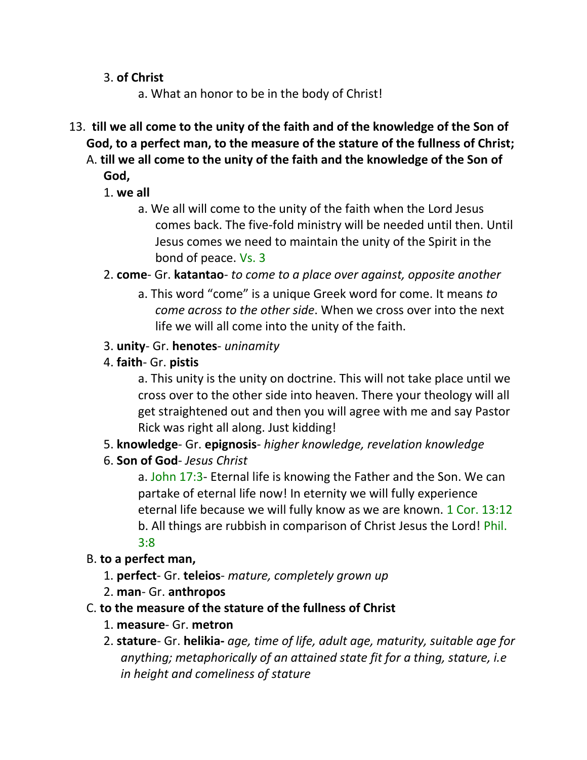3. **of Christ**

a. What an honor to be in the body of Christ!

13. **till we all come to the unity of the faith and of the knowledge of the Son of God, to a perfect man, to the measure of the stature of the fullness of Christ;**  A. **till we all come to the unity of the faith and the knowledge of the Son of** 

**God,**

- 1. **we all**
	- a. We all will come to the unity of the faith when the Lord Jesus comes back. The five-fold ministry will be needed until then. Until Jesus comes we need to maintain the unity of the Spirit in the bond of peace. Vs. 3
- 2. **come** Gr. **katantao** *to come to a place over against, opposite another*
	- a. This word "come" is a unique Greek word for come. It means *to come across to the other side*. When we cross over into the next life we will all come into the unity of the faith.
- 3. **unity** Gr. **henotes** *uninamity*
- 4. **faith** Gr. **pistis**

a. This unity is the unity on doctrine. This will not take place until we cross over to the other side into heaven. There your theology will all get straightened out and then you will agree with me and say Pastor Rick was right all along. Just kidding!

- 5. **knowledge** Gr. **epignosis** *higher knowledge, revelation knowledge*
- 6. **Son of God** *Jesus Christ*

a. John 17:3- Eternal life is knowing the Father and the Son. We can partake of eternal life now! In eternity we will fully experience eternal life because we will fully know as we are known. 1 Cor. 13:12 b. All things are rubbish in comparison of Christ Jesus the Lord! Phil. 3:8

- B. **to a perfect man,**
	- 1. **perfect** Gr. **teleios** *mature, completely grown up*
	- 2. **man** Gr. **anthropos**
- C. **to the measure of the stature of the fullness of Christ**
	- 1. **measure** Gr. **metron**
	- 2. **stature** Gr. **helikia-** *age, time of life, adult age, maturity, suitable age for anything; metaphorically of an attained state fit for a thing, stature, i.e in height and comeliness of stature*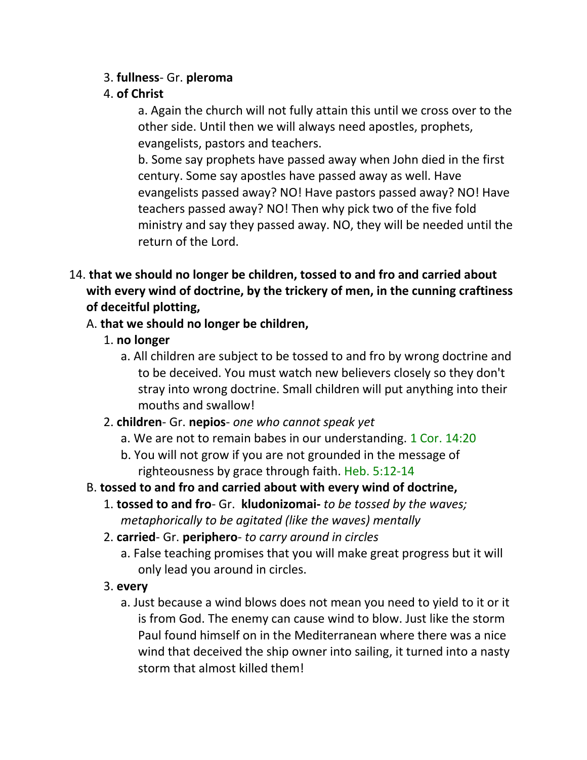### 3. **fullness**- Gr. **pleroma**

## 4. **of Christ**

a. Again the church will not fully attain this until we cross over to the other side. Until then we will always need apostles, prophets, evangelists, pastors and teachers.

b. Some say prophets have passed away when John died in the first century. Some say apostles have passed away as well. Have evangelists passed away? NO! Have pastors passed away? NO! Have teachers passed away? NO! Then why pick two of the five fold ministry and say they passed away. NO, they will be needed until the return of the Lord.

14. **that we should no longer be children, tossed to and fro and carried about with every wind of doctrine, by the trickery of men, in the cunning craftiness of deceitful plotting,** 

## A. **that we should no longer be children,**

- 1. **no longer**
	- a. All children are subject to be tossed to and fro by wrong doctrine and to be deceived. You must watch new believers closely so they don't stray into wrong doctrine. Small children will put anything into their mouths and swallow!
- 2. **children** Gr. **nepios** *one who cannot speak yet*
	- a. We are not to remain babes in our understanding. 1 Cor. 14:20
	- b. You will not grow if you are not grounded in the message of righteousness by grace through faith. Heb. 5:12-14
- B. **tossed to and fro and carried about with every wind of doctrine,**
	- 1. **tossed to and fro** Gr. **kludonizomai-** *to be tossed by the waves; metaphorically to be agitated (like the waves) mentally*
	- 2. **carried** Gr. **periphero** *to carry around in circles*
		- a. False teaching promises that you will make great progress but it will only lead you around in circles.
	- 3. **every**
		- a. Just because a wind blows does not mean you need to yield to it or it is from God. The enemy can cause wind to blow. Just like the storm Paul found himself on in the Mediterranean where there was a nice wind that deceived the ship owner into sailing, it turned into a nasty storm that almost killed them!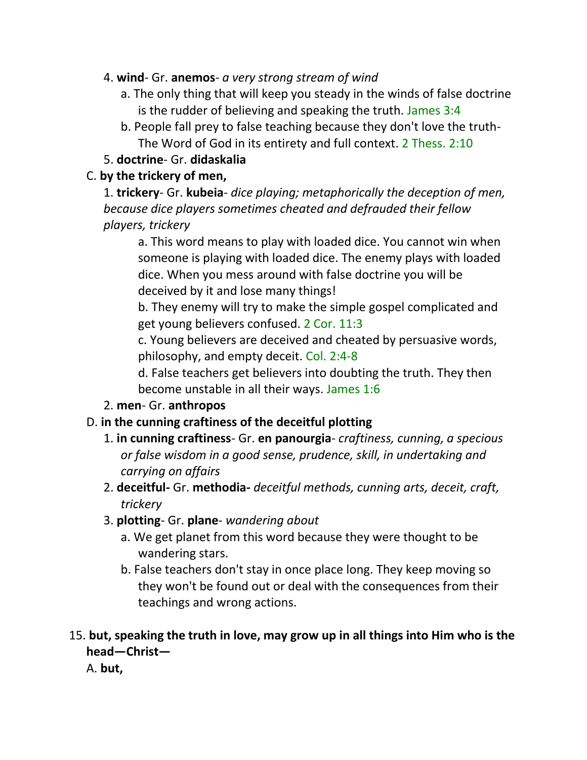- 4. **wind** Gr. **anemos** *a very strong stream of wind*
	- a. The only thing that will keep you steady in the winds of false doctrine is the rudder of believing and speaking the truth. James 3:4
	- b. People fall prey to false teaching because they don't love the truth-The Word of God in its entirety and full context. 2 Thess. 2:10

## 5. **doctrine**- Gr. **didaskalia**

## C. **by the trickery of men,**

1. **trickery**- Gr. **kubeia**- *dice playing; metaphorically the deception of men, because dice players sometimes cheated and defrauded their fellow players, trickery*

a. This word means to play with loaded dice. You cannot win when someone is playing with loaded dice. The enemy plays with loaded dice. When you mess around with false doctrine you will be deceived by it and lose many things!

b. They enemy will try to make the simple gospel complicated and get young believers confused. 2 Cor. 11:3

c. Young believers are deceived and cheated by persuasive words, philosophy, and empty deceit. Col. 2:4-8

d. False teachers get believers into doubting the truth. They then become unstable in all their ways. James 1:6

2. **men**- Gr. **anthropos**

## D. **in the cunning craftiness of the deceitful plotting**

- 1. **in cunning craftiness** Gr. **en panourgia** *craftiness, cunning, a specious or false wisdom in a good sense, prudence, skill, in undertaking and carrying on affairs*
- 2. **deceitful-** Gr. **methodia-** *deceitful methods, cunning arts, deceit, craft, trickery*
- 3. **plotting** Gr. **plane** *wandering about*
	- a. We get planet from this word because they were thought to be wandering stars.
	- b. False teachers don't stay in once place long. They keep moving so they won't be found out or deal with the consequences from their teachings and wrong actions.

## 15. **but, speaking the truth in love, may grow up in all things into Him who is the head—Christ—**

A. **but,**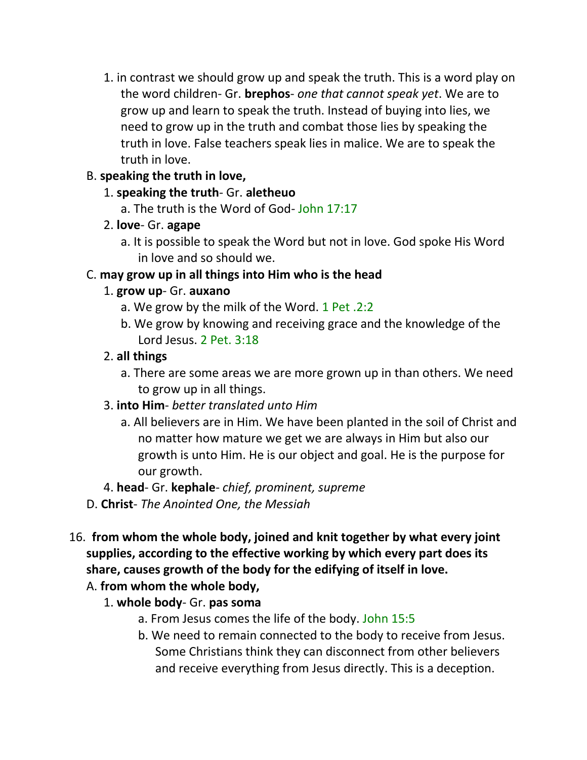1. in contrast we should grow up and speak the truth. This is a word play on the word children- Gr. **brephos**- *one that cannot speak yet*. We are to grow up and learn to speak the truth. Instead of buying into lies, we need to grow up in the truth and combat those lies by speaking the truth in love. False teachers speak lies in malice. We are to speak the truth in love.

## B. **speaking the truth in love,**

- 1. **speaking the truth** Gr. **aletheuo**
	- a. The truth is the Word of God- John 17:17
- 2. **love** Gr. **agape**
	- a. It is possible to speak the Word but not in love. God spoke His Word in love and so should we.

## C. **may grow up in all things into Him who is the head**

## 1. **grow up**- Gr. **auxano**

- a. We grow by the milk of the Word. 1 Pet .2:2
- b. We grow by knowing and receiving grace and the knowledge of the Lord Jesus. 2 Pet. 3:18

## 2. **all things**

- a. There are some areas we are more grown up in than others. We need to grow up in all things.
- 3. **into Him** *better translated unto Him*
	- a. All believers are in Him. We have been planted in the soil of Christ and no matter how mature we get we are always in Him but also our growth is unto Him. He is our object and goal. He is the purpose for our growth.
- 4. **head** Gr. **kephale** *chief, prominent, supreme*
- D. **Christ** *The Anointed One, the Messiah*
- 16. **from whom the whole body, joined and knit together by what every joint supplies, according to the effective working by which every part does its share, causes growth of the body for the edifying of itself in love.** 
	- A. **from whom the whole body,**
		- 1. **whole body** Gr. **pas soma**
			- a. From Jesus comes the life of the body. John 15:5
			- b. We need to remain connected to the body to receive from Jesus. Some Christians think they can disconnect from other believers and receive everything from Jesus directly. This is a deception.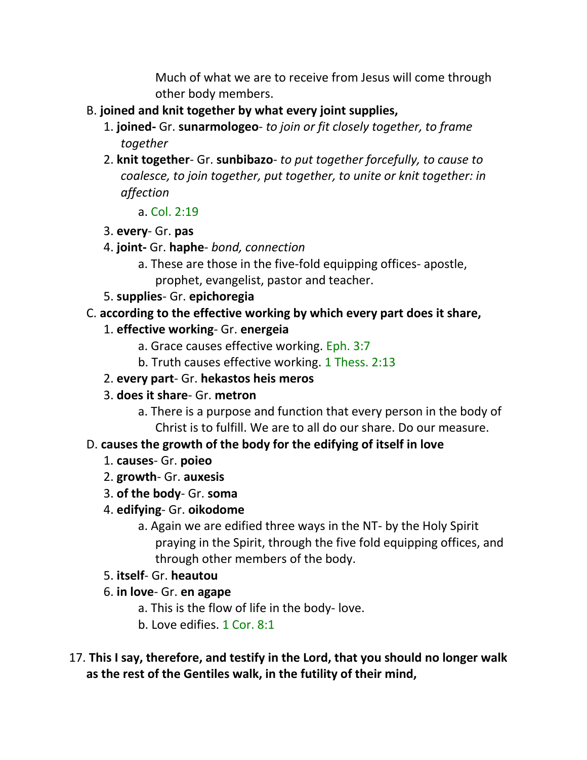Much of what we are to receive from Jesus will come through other body members.

- B. **joined and knit together by what every joint supplies,**
	- 1. **joined-** Gr. **sunarmologeo** *to join or fit closely together, to frame together*
	- 2. **knit together** Gr. **sunbibazo** *to put together forcefully, to cause to coalesce, to join together, put together, to unite or knit together: in affection*
		- a. Col. 2:19
	- 3. **every** Gr. **pas**
	- 4. **joint-** Gr. **haphe** *bond, connection*
		- a. These are those in the five-fold equipping offices- apostle, prophet, evangelist, pastor and teacher.
	- 5. **supplies** Gr. **epichoregia**

#### C. **according to the effective working by which every part does it share,**

- 1. **effective working** Gr. **energeia**
	- a. Grace causes effective working. Eph. 3:7
	- b. Truth causes effective working. 1 Thess. 2:13
- 2. **every part** Gr. **hekastos heis meros**
- 3. **does it share** Gr. **metron**
	- a. There is a purpose and function that every person in the body of Christ is to fulfill. We are to all do our share. Do our measure.

### D. **causes the growth of the body for the edifying of itself in love**

- 1. **causes** Gr. **poieo**
- 2. **growth** Gr. **auxesis**
- 3. **of the body** Gr. **soma**
- 4. **edifying** Gr. **oikodome**
	- a. Again we are edified three ways in the NT- by the Holy Spirit praying in the Spirit, through the five fold equipping offices, and through other members of the body.
- 5. **itself** Gr. **heautou**
- 6. **in love** Gr. **en agape**
	- a. This is the flow of life in the body- love.
	- b. Love edifies. 1 Cor. 8:1
- 17. **This I say, therefore, and testify in the Lord, that you should no longer walk as the rest of the Gentiles walk, in the futility of their mind,**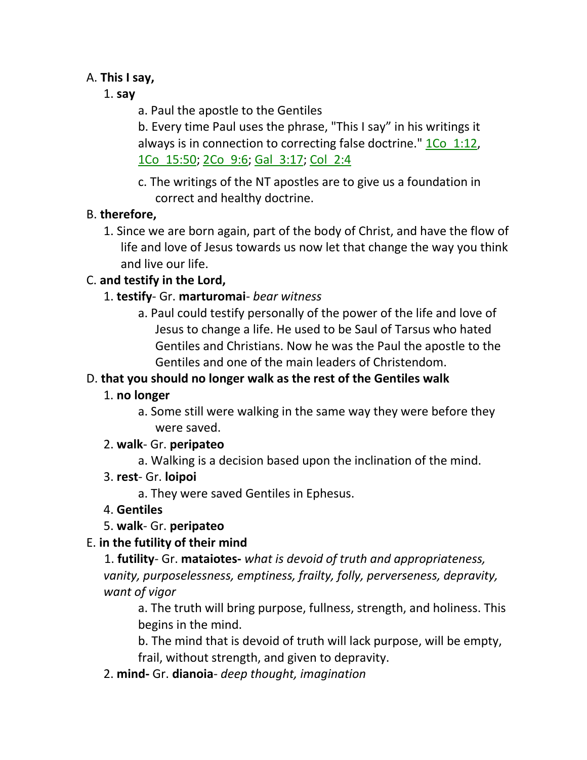#### A. **This I say,**

## 1. **say**

a. Paul the apostle to the Gentiles

b. Every time Paul uses the phrase, "This I say" in his writings it always is in connection to correcting false doctrine." 1Co 1:12, 1Co\_15:50; 2Co\_9:6; Gal\_3:17; Col\_2:4

c. The writings of the NT apostles are to give us a foundation in correct and healthy doctrine.

## B. **therefore,**

1. Since we are born again, part of the body of Christ, and have the flow of life and love of Jesus towards us now let that change the way you think and live our life.

## C. **and testify in the Lord,**

- 1. **testify** Gr. **marturomai** *bear witness*
	- a. Paul could testify personally of the power of the life and love of Jesus to change a life. He used to be Saul of Tarsus who hated Gentiles and Christians. Now he was the Paul the apostle to the Gentiles and one of the main leaders of Christendom.

## D. **that you should no longer walk as the rest of the Gentiles walk**

## 1. **no longer**

a. Some still were walking in the same way they were before they were saved.

## 2. **walk**- Gr. **peripateo**

a. Walking is a decision based upon the inclination of the mind.

## 3. **rest**- Gr. **loipoi**

a. They were saved Gentiles in Ephesus.

## 4. **Gentiles**

5. **walk**- Gr. **peripateo**

## E. **in the futility of their mind**

1. **futility**- Gr. **mataiotes-** *what is devoid of truth and appropriateness, vanity, purposelessness, emptiness, frailty, folly, perverseness, depravity, want of vigor*

a. The truth will bring purpose, fullness, strength, and holiness. This begins in the mind.

b. The mind that is devoid of truth will lack purpose, will be empty, frail, without strength, and given to depravity.

2. **mind-** Gr. **dianoia**- *deep thought, imagination*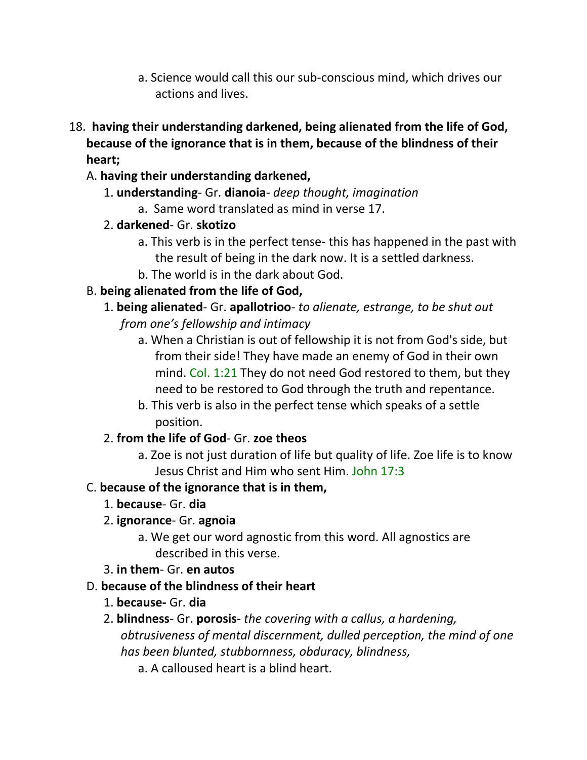- a. Science would call this our sub-conscious mind, which drives our actions and lives.
- 18. **having their understanding darkened, being alienated from the life of God, because of the ignorance that is in them, because of the blindness of their heart;** 
	- A. **having their understanding darkened,**
		- 1. **understanding** Gr. **dianoia** *deep thought, imagination*
			- a. Same word translated as mind in verse 17.
		- 2. **darkened** Gr. **skotizo**
			- a. This verb is in the perfect tense- this has happened in the past with the result of being in the dark now. It is a settled darkness.
			- b. The world is in the dark about God.

## B. **being alienated from the life of God,**

- 1. **being alienated** Gr. **apallotrioo** *to alienate, estrange, to be shut out from one's fellowship and intimacy*
	- a. When a Christian is out of fellowship it is not from God's side, but from their side! They have made an enemy of God in their own mind. Col. 1:21 They do not need God restored to them, but they need to be restored to God through the truth and repentance.
	- b. This verb is also in the perfect tense which speaks of a settle position.

## 2. **from the life of God**- Gr. **zoe theos**

a. Zoe is not just duration of life but quality of life. Zoe life is to know Jesus Christ and Him who sent Him. John 17:3

## C. **because of the ignorance that is in them,**

- 1. **because** Gr. **dia**
- 2. **ignorance** Gr. **agnoia**
	- a. We get our word agnostic from this word. All agnostics are described in this verse.
- 3. **in them** Gr. **en autos**
- D. **because of the blindness of their heart**
	- 1. **because-** Gr. **dia**
	- 2. **blindness** Gr. **porosis** *the covering with a callus, a hardening, obtrusiveness of mental discernment, dulled perception, the mind of one has been blunted, stubbornness, obduracy, blindness,*
		- a. A calloused heart is a blind heart.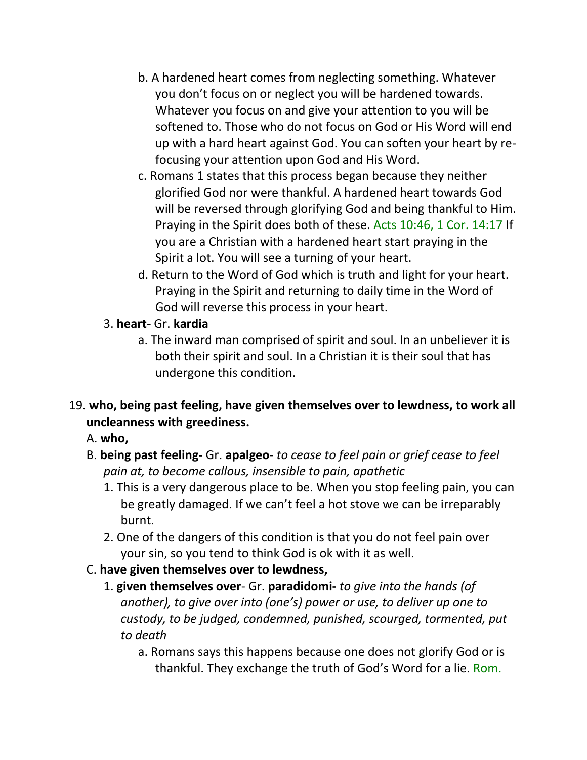- b. A hardened heart comes from neglecting something. Whatever you don't focus on or neglect you will be hardened towards. Whatever you focus on and give your attention to you will be softened to. Those who do not focus on God or His Word will end up with a hard heart against God. You can soften your heart by refocusing your attention upon God and His Word.
- c. Romans 1 states that this process began because they neither glorified God nor were thankful. A hardened heart towards God will be reversed through glorifying God and being thankful to Him. Praying in the Spirit does both of these. Acts 10:46, 1 Cor. 14:17 If you are a Christian with a hardened heart start praying in the Spirit a lot. You will see a turning of your heart.
- d. Return to the Word of God which is truth and light for your heart. Praying in the Spirit and returning to daily time in the Word of God will reverse this process in your heart.

## 3. **heart-** Gr. **kardia**

a. The inward man comprised of spirit and soul. In an unbeliever it is both their spirit and soul. In a Christian it is their soul that has undergone this condition.

## 19. **who, being past feeling, have given themselves over to lewdness, to work all uncleanness with greediness.**

A. **who,**

- B. **being past feeling-** Gr. **apalgeo** *to cease to feel pain or grief cease to feel pain at, to become callous, insensible to pain, apathetic*
	- 1. This is a very dangerous place to be. When you stop feeling pain, you can be greatly damaged. If we can't feel a hot stove we can be irreparably burnt.
	- 2. One of the dangers of this condition is that you do not feel pain over your sin, so you tend to think God is ok with it as well.
- C. **have given themselves over to lewdness,**
	- 1. **given themselves over** Gr. **paradidomi-** *to give into the hands (of another), to give over into (one's) power or use, to deliver up one to custody, to be judged, condemned, punished, scourged, tormented, put to death*
		- a. Romans says this happens because one does not glorify God or is thankful. They exchange the truth of God's Word for a lie. Rom.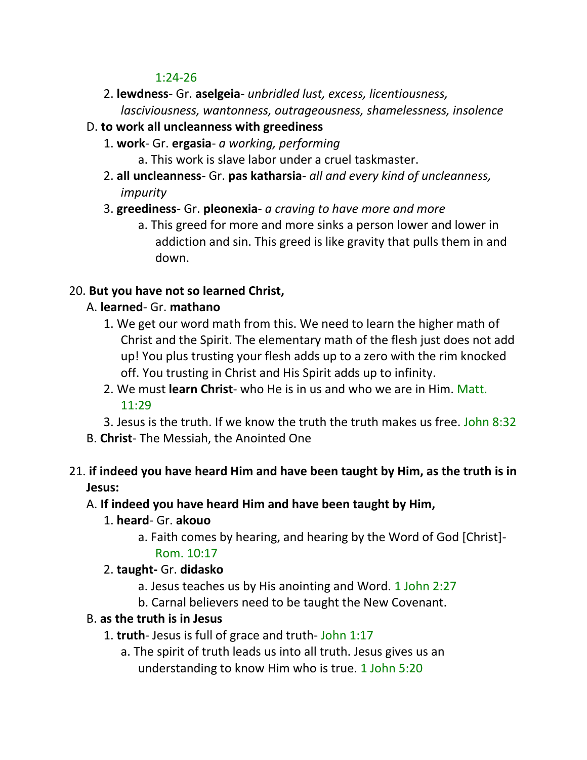#### 1:24-26

2. **lewdness**- Gr. **aselgeia**- *unbridled lust, excess, licentiousness, lasciviousness, wantonness, outrageousness, shamelessness, insolence*

## D. **to work all uncleanness with greediness**

- 1. **work** Gr. **ergasia** *a working, performing*
	- a. This work is slave labor under a cruel taskmaster.
- 2. **all uncleanness** Gr. **pas katharsia** *all and every kind of uncleanness, impurity*
- 3. **greediness** Gr. **pleonexia** *a craving to have more and more*
	- a. This greed for more and more sinks a person lower and lower in addiction and sin. This greed is like gravity that pulls them in and down.

## 20. **But you have not so learned Christ,**

## A. **learned**- Gr. **mathano**

- 1. We get our word math from this. We need to learn the higher math of Christ and the Spirit. The elementary math of the flesh just does not add up! You plus trusting your flesh adds up to a zero with the rim knocked off. You trusting in Christ and His Spirit adds up to infinity.
- 2. We must **learn Christ** who He is in us and who we are in Him. Matt. 11:29
- 3. Jesus is the truth. If we know the truth the truth makes us free. John 8:32
- B. **Christ** The Messiah, the Anointed One

### 21. **if indeed you have heard Him and have been taught by Him, as the truth is in Jesus:**

- A. **If indeed you have heard Him and have been taught by Him,**
	- 1. **heard** Gr. **akouo** 
		- a. Faith comes by hearing, and hearing by the Word of God [Christ]-

### Rom. 10:17

### 2. **taught-** Gr. **didasko**

- a. Jesus teaches us by His anointing and Word. 1 John 2:27
- b. Carnal believers need to be taught the New Covenant.

### B. **as the truth is in Jesus**

- 1. **truth** Jesus is full of grace and truth- John 1:17
	- a. The spirit of truth leads us into all truth. Jesus gives us an understanding to know Him who is true. 1 John 5:20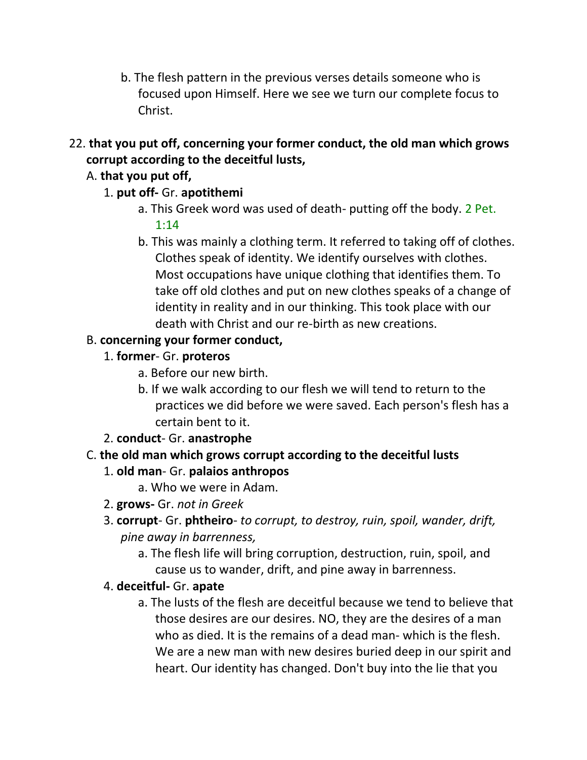- b. The flesh pattern in the previous verses details someone who is focused upon Himself. Here we see we turn our complete focus to Christ.
- 22. **that you put off, concerning your former conduct, the old man which grows corrupt according to the deceitful lusts,**

## A. **that you put off,**

## 1. **put off-** Gr. **apotithemi**

- a. This Greek word was used of death- putting off the body. 2 Pet. 1:14
- b. This was mainly a clothing term. It referred to taking off of clothes. Clothes speak of identity. We identify ourselves with clothes. Most occupations have unique clothing that identifies them. To take off old clothes and put on new clothes speaks of a change of identity in reality and in our thinking. This took place with our death with Christ and our re-birth as new creations.

## B. **concerning your former conduct,**

- 1. **former** Gr. **proteros**
	- a. Before our new birth.
	- b. If we walk according to our flesh we will tend to return to the practices we did before we were saved. Each person's flesh has a certain bent to it.

2. **conduct**- Gr. **anastrophe**

## C. **the old man which grows corrupt according to the deceitful lusts**

## 1. **old man**- Gr. **palaios anthropos**

- a. Who we were in Adam.
- 2. **grows-** Gr. *not in Greek*
- 3. **corrupt** Gr. **phtheiro** *to corrupt, to destroy, ruin, spoil, wander, drift, pine away in barrenness,*
	- a. The flesh life will bring corruption, destruction, ruin, spoil, and cause us to wander, drift, and pine away in barrenness.

### 4. **deceitful-** Gr. **apate**

a. The lusts of the flesh are deceitful because we tend to believe that those desires are our desires. NO, they are the desires of a man who as died. It is the remains of a dead man- which is the flesh. We are a new man with new desires buried deep in our spirit and heart. Our identity has changed. Don't buy into the lie that you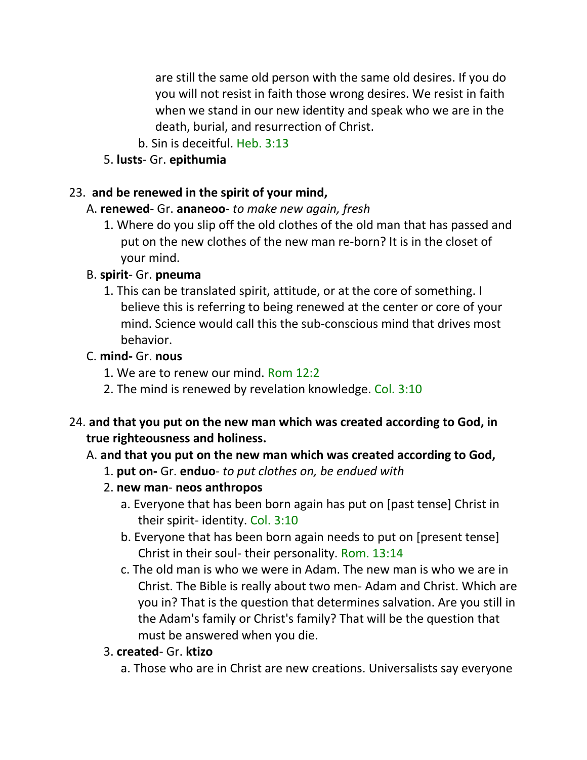are still the same old person with the same old desires. If you do you will not resist in faith those wrong desires. We resist in faith when we stand in our new identity and speak who we are in the death, burial, and resurrection of Christ.

- b. Sin is deceitful. Heb. 3:13
- 5. **lusts** Gr. **epithumia**

#### 23. **and be renewed in the spirit of your mind,**

#### A. **renewed**- Gr. **ananeoo**- *to make new again, fresh*

1. Where do you slip off the old clothes of the old man that has passed and put on the new clothes of the new man re-born? It is in the closet of your mind.

#### B. **spirit**- Gr. **pneuma**

1. This can be translated spirit, attitude, or at the core of something. I believe this is referring to being renewed at the center or core of your mind. Science would call this the sub-conscious mind that drives most behavior.

#### C. **mind-** Gr. **nous**

- 1. We are to renew our mind. Rom 12:2
- 2. The mind is renewed by revelation knowledge. Col. 3:10
- 24. **and that you put on the new man which was created according to God, in true righteousness and holiness.**

### A. **and that you put on the new man which was created according to God,**

- 1. **put on-** Gr. **enduo** *to put clothes on, be endued with*
- 2. **new man neos anthropos**
	- a. Everyone that has been born again has put on [past tense] Christ in their spirit- identity. Col. 3:10
	- b. Everyone that has been born again needs to put on [present tense] Christ in their soul- their personality. Rom. 13:14
	- c. The old man is who we were in Adam. The new man is who we are in Christ. The Bible is really about two men- Adam and Christ. Which are you in? That is the question that determines salvation. Are you still in the Adam's family or Christ's family? That will be the question that must be answered when you die.

#### 3. **created**- Gr. **ktizo**

a. Those who are in Christ are new creations. Universalists say everyone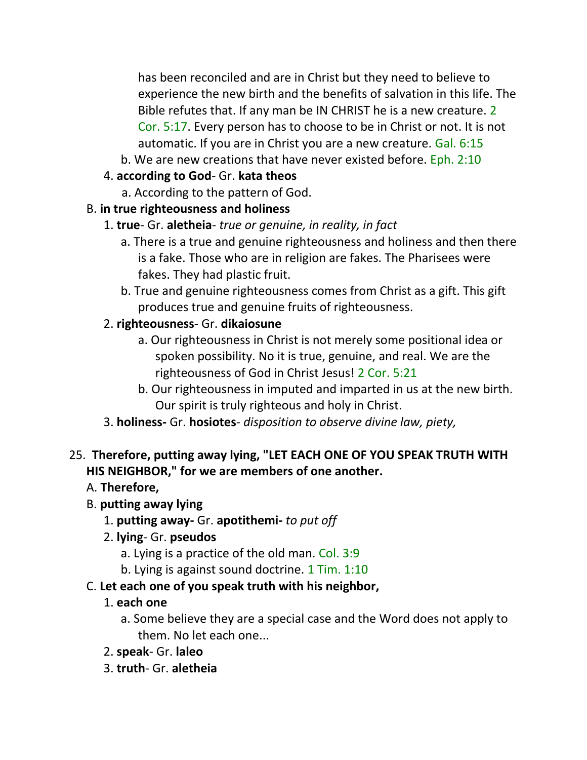has been reconciled and are in Christ but they need to believe to experience the new birth and the benefits of salvation in this life. The Bible refutes that. If any man be IN CHRIST he is a new creature. 2 Cor. 5:17. Every person has to choose to be in Christ or not. It is not automatic. If you are in Christ you are a new creature. Gal. 6:15

- b. We are new creations that have never existed before. Eph. 2:10
- 4. **according to God** Gr. **kata theos**
	- a. According to the pattern of God.

## B. **in true righteousness and holiness**

- 1. **true** Gr. **aletheia** *true or genuine, in reality, in fact*
	- a. There is a true and genuine righteousness and holiness and then there is a fake. Those who are in religion are fakes. The Pharisees were fakes. They had plastic fruit.
	- b. True and genuine righteousness comes from Christ as a gift. This gift produces true and genuine fruits of righteousness.

## 2. **righteousness**- Gr. **dikaiosune**

- a. Our righteousness in Christ is not merely some positional idea or spoken possibility. No it is true, genuine, and real. We are the righteousness of God in Christ Jesus! 2 Cor. 5:21
- b. Our righteousness in imputed and imparted in us at the new birth. Our spirit is truly righteous and holy in Christ.
- 3. **holiness-** Gr. **hosiotes** *disposition to observe divine law, piety,*

# 25. **Therefore, putting away lying, "LET EACH ONE OF YOU SPEAK TRUTH WITH HIS NEIGHBOR," for we are members of one another.**

# A. **Therefore,**

# B. **putting away lying**

- 1. **putting away-** Gr. **apotithemi-** *to put off*
- 2. **lying** Gr. **pseudos**
	- a. Lying is a practice of the old man. Col. 3:9
	- b. Lying is against sound doctrine. 1 Tim. 1:10
- C. **Let each one of you speak truth with his neighbor,**

# 1. **each one**

- a. Some believe they are a special case and the Word does not apply to them. No let each one...
- 2. **speak** Gr. **laleo**
- 3. **truth** Gr. **aletheia**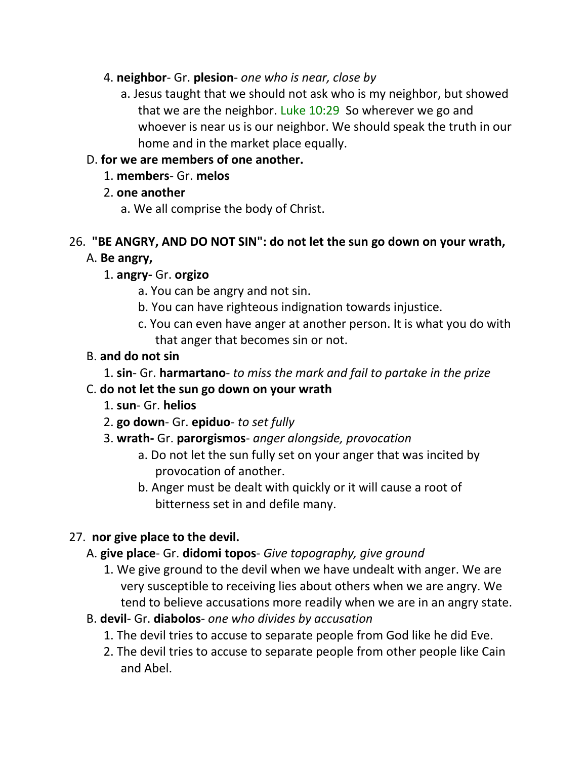- 4. **neighbor** Gr. **plesion** *one who is near, close by*
	- a. Jesus taught that we should not ask who is my neighbor, but showed that we are the neighbor. Luke 10:29 So wherever we go and whoever is near us is our neighbor. We should speak the truth in our home and in the market place equally.

### D. **for we are members of one another.**

- 1. **members** Gr. **melos**
- 2. **one another**
	- a. We all comprise the body of Christ.

## 26. **"BE ANGRY, AND DO NOT SIN": do not let the sun go down on your wrath,**

### A. **Be angry,**

- 1. **angry-** Gr. **orgizo**
	- a. You can be angry and not sin.
	- b. You can have righteous indignation towards injustice.
	- c. You can even have anger at another person. It is what you do with that anger that becomes sin or not.

### B. **and do not sin**

1. **sin**- Gr. **harmartano**- *to miss the mark and fail to partake in the prize*

### C. **do not let the sun go down on your wrath**

- 1. **sun** Gr. **helios**
- 2. **go down** Gr. **epiduo** *to set fully*
- 3. **wrath-** Gr. **parorgismos** *anger alongside, provocation*
	- a. Do not let the sun fully set on your anger that was incited by provocation of another.
	- b. Anger must be dealt with quickly or it will cause a root of bitterness set in and defile many.

## 27. **nor give place to the devil.**

### A. **give place**- Gr. **didomi topos**- *Give topography, give ground*

- 1. We give ground to the devil when we have undealt with anger. We are very susceptible to receiving lies about others when we are angry. We tend to believe accusations more readily when we are in an angry state.
- B. **devil** Gr. **diabolos** *one who divides by accusation*
	- 1. The devil tries to accuse to separate people from God like he did Eve.
	- 2. The devil tries to accuse to separate people from other people like Cain and Abel.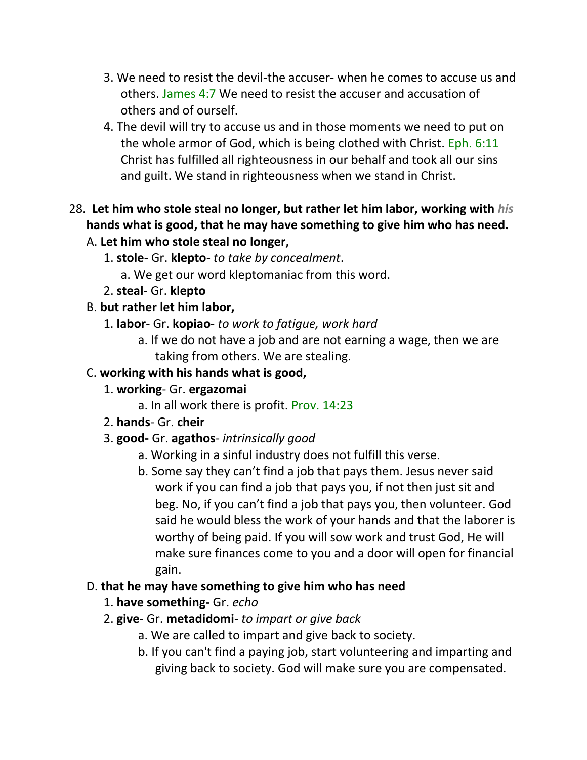- 3. We need to resist the devil-the accuser- when he comes to accuse us and others. James 4:7 We need to resist the accuser and accusation of others and of ourself.
- 4. The devil will try to accuse us and in those moments we need to put on the whole armor of God, which is being clothed with Christ. Eph. 6:11 Christ has fulfilled all righteousness in our behalf and took all our sins and guilt. We stand in righteousness when we stand in Christ.

# 28. **Let him who stole steal no longer, but rather let him labor, working with** *his* **hands what is good, that he may have something to give him who has need.**

- A. **Let him who stole steal no longer,**
	- 1. **stole** Gr. **klepto***- to take by concealment*.
		- a. We get our word kleptomaniac from this word.
	- 2. **steal-** Gr. **klepto**

## B. **but rather let him labor,**

- 1. **labor** Gr. **kopiao** *to work to fatigue, work hard*
	- a. If we do not have a job and are not earning a wage, then we are taking from others. We are stealing.

## C. **working with his hands what is good,**

- 1. **working** Gr. **ergazomai**
	- a. In all work there is profit. Prov. 14:23
- 2. **hands** Gr. **cheir**
- 3. **good-** Gr. **agathos** *intrinsically good*
	- a. Working in a sinful industry does not fulfill this verse.
	- b. Some say they can't find a job that pays them. Jesus never said work if you can find a job that pays you, if not then just sit and beg. No, if you can't find a job that pays you, then volunteer. God said he would bless the work of your hands and that the laborer is worthy of being paid. If you will sow work and trust God, He will make sure finances come to you and a door will open for financial gain.
- D. **that he may have something to give him who has need**
	- 1. **have something-** Gr. *echo*
	- 2. **give** Gr. **metadidomi** *to impart or give back*
		- a. We are called to impart and give back to society.
		- b. If you can't find a paying job, start volunteering and imparting and giving back to society. God will make sure you are compensated.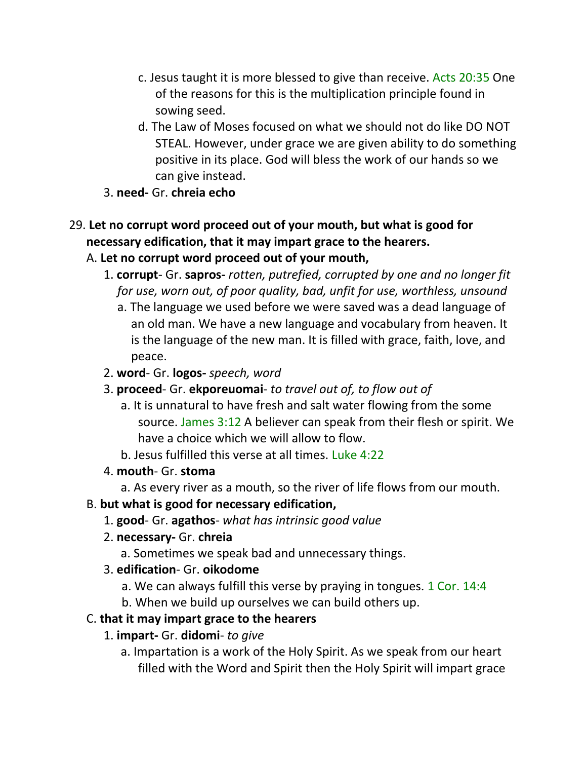- c. Jesus taught it is more blessed to give than receive. Acts 20:35 One of the reasons for this is the multiplication principle found in sowing seed.
- d. The Law of Moses focused on what we should not do like DO NOT STEAL. However, under grace we are given ability to do something positive in its place. God will bless the work of our hands so we can give instead.
- 3. **need-** Gr. **chreia echo**
- 29. **Let no corrupt word proceed out of your mouth, but what is good for necessary edification, that it may impart grace to the hearers.**
	- A. **Let no corrupt word proceed out of your mouth,**
		- 1. **corrupt** Gr. **sapros-** *rotten, putrefied, corrupted by one and no longer fit for use, worn out, of poor quality, bad, unfit for use, worthless, unsound*
			- a. The language we used before we were saved was a dead language of an old man. We have a new language and vocabulary from heaven. It is the language of the new man. It is filled with grace, faith, love, and peace.
		- 2. **word** Gr. **logos-** *speech, word*
		- 3. **proceed** Gr. **ekporeuomai** *to travel out of, to flow out of*
			- a. It is unnatural to have fresh and salt water flowing from the some source. James 3:12 A believer can speak from their flesh or spirit. We have a choice which we will allow to flow.
			- b. Jesus fulfilled this verse at all times. Luke 4:22
		- 4. **mouth** Gr. **stoma**
			- a. As every river as a mouth, so the river of life flows from our mouth.

## B. **but what is good for necessary edification,**

- 1. **good** Gr. **agathos** *what has intrinsic good value*
- 2. **necessary-** Gr. **chreia**
	- a. Sometimes we speak bad and unnecessary things.
- 3. **edification** Gr. **oikodome**
	- a. We can always fulfill this verse by praying in tongues. 1 Cor. 14:4
	- b. When we build up ourselves we can build others up.

## C. **that it may impart grace to the hearers**

- 1. **impart-** Gr. **didomi** *to give*
	- a. Impartation is a work of the Holy Spirit. As we speak from our heart filled with the Word and Spirit then the Holy Spirit will impart grace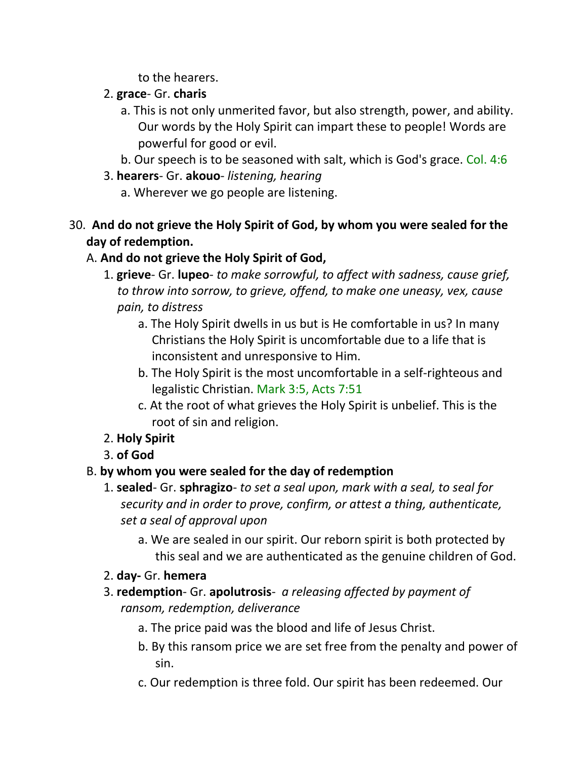to the hearers.

- 2. **grace** Gr. **charis**
	- a. This is not only unmerited favor, but also strength, power, and ability. Our words by the Holy Spirit can impart these to people! Words are powerful for good or evil.
	- b. Our speech is to be seasoned with salt, which is God's grace. Col. 4:6
- 3. **hearers** Gr. **akouo** *listening, hearing*
	- a. Wherever we go people are listening.
- 30. **And do not grieve the Holy Spirit of God, by whom you were sealed for the day of redemption.** 
	- A. **And do not grieve the Holy Spirit of God,**
		- 1. **grieve** Gr. **lupeo** *to make sorrowful, to affect with sadness, cause grief, to throw into sorrow, to grieve, offend, to make one uneasy, vex, cause pain, to distress*
			- a. The Holy Spirit dwells in us but is He comfortable in us? In many Christians the Holy Spirit is uncomfortable due to a life that is inconsistent and unresponsive to Him.
			- b. The Holy Spirit is the most uncomfortable in a self-righteous and legalistic Christian. Mark 3:5, Acts 7:51
			- c. At the root of what grieves the Holy Spirit is unbelief. This is the root of sin and religion.
		- 2. **Holy Spirit**
		- 3. **of God**

# B. **by whom you were sealed for the day of redemption**

- 1. **sealed** Gr. **sphragizo** *to set a seal upon, mark with a seal, to seal for security and in order to prove, confirm, or attest a thing, authenticate, set a seal of approval upon*
	- a. We are sealed in our spirit. Our reborn spirit is both protected by this seal and we are authenticated as the genuine children of God.
- 2. **day-** Gr. **hemera**
- 3. **redemption** Gr. **apolutrosis** *a releasing affected by payment of ransom, redemption, deliverance*
	- a. The price paid was the blood and life of Jesus Christ.
	- b. By this ransom price we are set free from the penalty and power of sin.
	- c. Our redemption is three fold. Our spirit has been redeemed. Our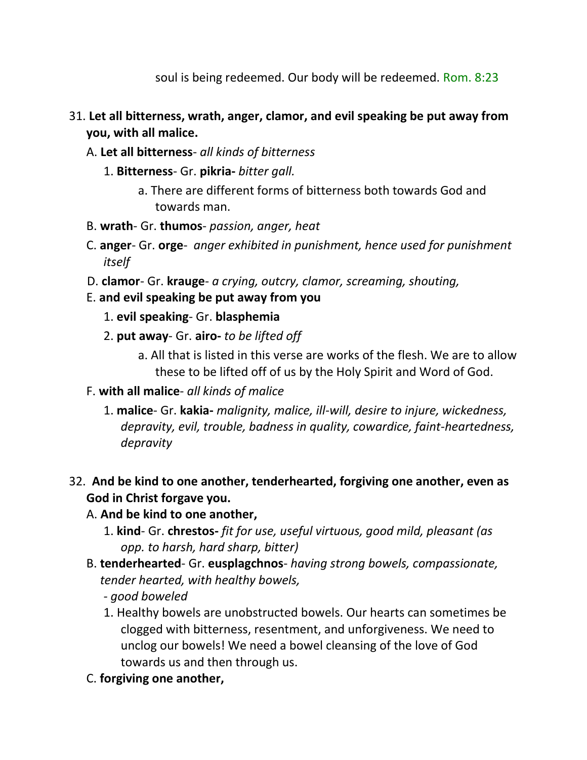soul is being redeemed. Our body will be redeemed. Rom. 8:23

## 31. **Let all bitterness, wrath, anger, clamor, and evil speaking be put away from you, with all malice.**

- A. **Let all bitterness** *all kinds of bitterness*
	- 1. **Bitterness** Gr. **pikria-** *bitter gall.* 
		- a. There are different forms of bitterness both towards God and towards man.
- B. **wrath** Gr. **thumos** *passion, anger, heat*
- C. **anger** Gr. **orge** *anger exhibited in punishment, hence used for punishment itself*
- D. **clamor** Gr. **krauge** *a crying, outcry, clamor, screaming, shouting,*
- E. **and evil speaking be put away from you**
	- 1. **evil speaking** Gr. **blasphemia**
	- 2. **put away** Gr. **airo-** *to be lifted off*
		- a. All that is listed in this verse are works of the flesh. We are to allow these to be lifted off of us by the Holy Spirit and Word of God.
- F. **with all malice** *all kinds of malice*
	- 1. **malice** Gr. **kakia-** *malignity, malice, ill-will, desire to injure, wickedness, depravity, evil, trouble, badness in quality, cowardice, faint-heartedness, depravity*
- 32. **And be kind to one another, tenderhearted, forgiving one another, even as God in Christ forgave you.**

### A. **And be kind to one another,**

- 1. **kind** Gr. **chrestos-** *fit for use, useful virtuous, good mild, pleasant (as opp. to harsh, hard sharp, bitter)*
- B. **tenderhearted** Gr. **eusplagchnos** *having strong bowels, compassionate, tender hearted, with healthy bowels,*
	- *- good boweled*
	- 1. Healthy bowels are unobstructed bowels. Our hearts can sometimes be clogged with bitterness, resentment, and unforgiveness. We need to unclog our bowels! We need a bowel cleansing of the love of God towards us and then through us.
- C. **forgiving one another,**